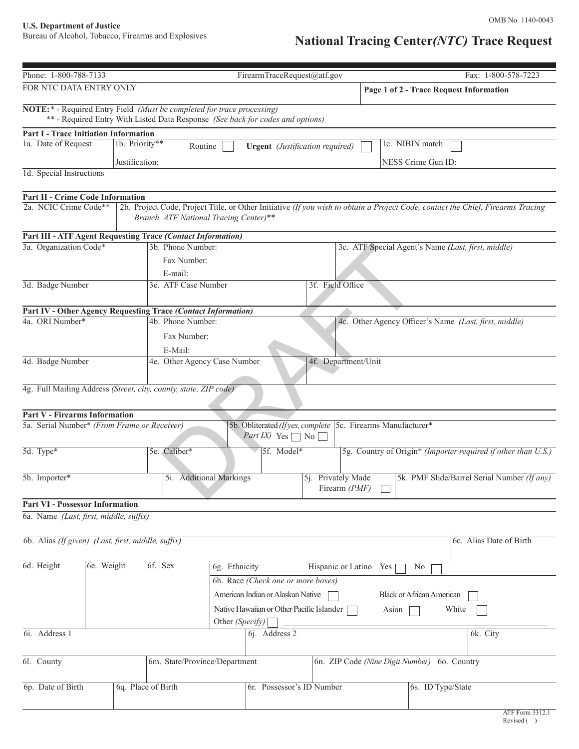### OMB No. 1140-0043

# **National Tracing Center***(NTC)* **Trace Request**

| Phone: 1-800-788-7133                                                            |                                                                                | FirearmTraceRequest@atf.gov               |                                        | Fax: 1-800-578-7223                                                                                                             |
|----------------------------------------------------------------------------------|--------------------------------------------------------------------------------|-------------------------------------------|----------------------------------------|---------------------------------------------------------------------------------------------------------------------------------|
| FOR NTC DATA ENTRY ONLY                                                          |                                                                                |                                           |                                        | Page 1 of 2 - Trace Request Information                                                                                         |
| <b>NOTE:</b> * - Required Entry Field (Must be completed for trace processing)   |                                                                                |                                           |                                        |                                                                                                                                 |
|                                                                                  | ** - Required Entry With Listed Data Response (See back for codes and options) |                                           |                                        |                                                                                                                                 |
| <b>Part I - Trace Initiation Information</b>                                     |                                                                                |                                           |                                        |                                                                                                                                 |
| 1a. Date of Request                                                              | 1b. Priority**<br>Routine                                                      |                                           | <b>Urgent</b> (Justification required) | 1c. NIBIN match                                                                                                                 |
|                                                                                  | Justification:                                                                 |                                           |                                        | NESS Crime Gun ID:                                                                                                              |
| 1d. Special Instructions                                                         |                                                                                |                                           |                                        |                                                                                                                                 |
| Part II - Crime Code Information                                                 |                                                                                |                                           |                                        |                                                                                                                                 |
| 2a. NCIC Crime Code**                                                            | Branch, ATF National Tracing Center)**                                         |                                           |                                        | 2b. Project Code, Project Title, or Other Initiative (If you wish to obtain a Project Code, contact the Chief, Firearms Tracing |
| <b>Part III - ATF Agent Requesting Trace (Contact Information)</b>               |                                                                                |                                           |                                        |                                                                                                                                 |
| 3a. Organization Code*                                                           | 3b. Phone Number:                                                              |                                           |                                        | 3c. ATF Special Agent's Name (Last, first, middle)                                                                              |
|                                                                                  | Fax Number:                                                                    |                                           |                                        |                                                                                                                                 |
|                                                                                  | E-mail:                                                                        |                                           |                                        |                                                                                                                                 |
| 3d. Badge Number                                                                 | 3e. ATF Case Number                                                            |                                           | 3f. Field Office                       |                                                                                                                                 |
|                                                                                  |                                                                                |                                           |                                        |                                                                                                                                 |
| Part IV - Other Agency Requesting Trace (Contact Information)<br>4a. ORI Number* | 4b. Phone Number:                                                              |                                           |                                        |                                                                                                                                 |
|                                                                                  |                                                                                |                                           |                                        | 4c. Other Agency Officer's Name (Last, first, middle)                                                                           |
|                                                                                  | Fax Number:                                                                    |                                           |                                        |                                                                                                                                 |
| 4d. Badge Number                                                                 | E-Mail:<br>4e. Other Agency Case Number                                        |                                           | 4f. Department/Unit                    |                                                                                                                                 |
|                                                                                  |                                                                                |                                           |                                        |                                                                                                                                 |
|                                                                                  |                                                                                |                                           |                                        |                                                                                                                                 |
| 4g. Full Mailing Address (Street, city, county, state, ZIP code)                 |                                                                                |                                           |                                        |                                                                                                                                 |
| <b>Part V - Firearms Information</b>                                             |                                                                                |                                           |                                        |                                                                                                                                 |
| 5a. Serial Number* (From Frame or Receiver)                                      |                                                                                |                                           |                                        | 5b. Obliterated (If yes, complete 5c. Firearms Manufacturer*                                                                    |
|                                                                                  |                                                                                | <i>Part IX</i> ) Yes $\Box$ No $\Box$     |                                        |                                                                                                                                 |
| 5d. Type*                                                                        | 5e. Caliber*                                                                   | 5f. Model*                                |                                        | 5g. Country of Origin* (Importer required if other than U.S.)                                                                   |
|                                                                                  |                                                                                |                                           |                                        |                                                                                                                                 |
| 5h. Importer*                                                                    | 5i. Additional Markings                                                        |                                           | 5j. Privately Made                     | 5k. PMF Slide/Barrel Serial Number (If any)                                                                                     |
|                                                                                  |                                                                                |                                           | Firearm $(PMF)$                        |                                                                                                                                 |
| <b>Part VI - Possessor Information</b>                                           |                                                                                |                                           |                                        |                                                                                                                                 |
| 6a. Name (Last, first, middle, suffix)                                           |                                                                                |                                           |                                        |                                                                                                                                 |
| 6b. Alias (If given) (Last, first, middle, suffix)                               |                                                                                |                                           |                                        | 6c. Alias Date of Birth                                                                                                         |
|                                                                                  |                                                                                |                                           |                                        |                                                                                                                                 |
| 6d. Height<br>6e. Weight                                                         | 6f. Sex                                                                        | 6g. Ethnicity                             | Hispanic or Latino Yes                 | N <sub>0</sub>                                                                                                                  |
|                                                                                  |                                                                                | 6h. Race (Check one or more boxes)        |                                        |                                                                                                                                 |
|                                                                                  |                                                                                | American Indian or Alaskan Native         |                                        | <b>Black or African American</b>                                                                                                |
|                                                                                  |                                                                                | Native Hawaiian or Other Pacific Islander |                                        | White<br>Asian                                                                                                                  |
|                                                                                  |                                                                                | Other (Specify)                           |                                        |                                                                                                                                 |
| 6i. Address 1                                                                    |                                                                                | 6j. Address 2                             |                                        | 6k. City                                                                                                                        |
|                                                                                  |                                                                                |                                           |                                        |                                                                                                                                 |
| 6l. County                                                                       | 6m. State/Province/Department                                                  |                                           |                                        | 6n. ZIP Code (Nine Digit Number)<br>60. Country                                                                                 |
|                                                                                  |                                                                                |                                           |                                        |                                                                                                                                 |
| 6p. Date of Birth                                                                | 6q. Place of Birth                                                             | 6r. Possessor's ID Number                 |                                        | 6s. ID Type/State                                                                                                               |
|                                                                                  |                                                                                |                                           |                                        |                                                                                                                                 |
|                                                                                  |                                                                                |                                           |                                        | ATF Form 3312.1                                                                                                                 |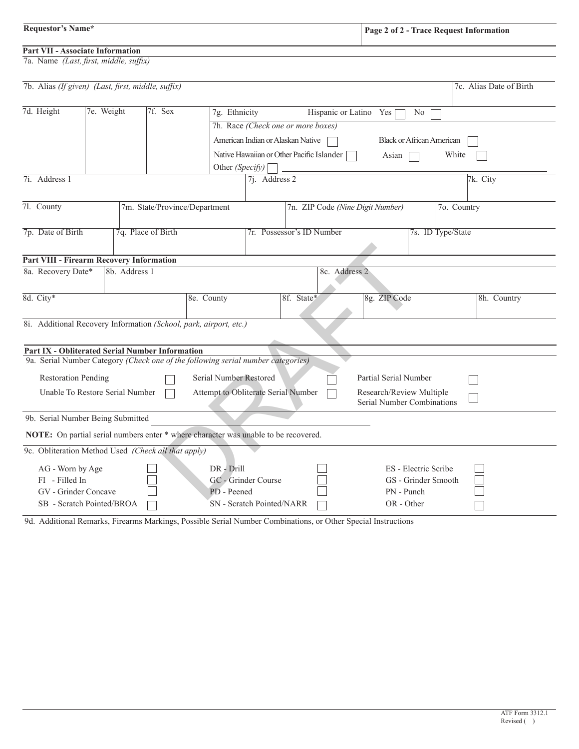## **Part VII - Associate Information**

7a. Name *(Last, first, middle, suffix)*

| Page 2 of 2 - Trace Request Information |
|-----------------------------------------|
|-----------------------------------------|

| 7b. Alias (If given) (Last, first, middle, suffix)                                                                               |  |               |                    |                                                                                     |                                    |                                           |                                  |                      |          | 7c. Alias Date of Birth |
|----------------------------------------------------------------------------------------------------------------------------------|--|---------------|--------------------|-------------------------------------------------------------------------------------|------------------------------------|-------------------------------------------|----------------------------------|----------------------|----------|-------------------------|
|                                                                                                                                  |  |               |                    |                                                                                     |                                    |                                           |                                  |                      |          |                         |
| 7d. Height<br>7e. Weight<br>7f. Sex                                                                                              |  |               |                    | 7g. Ethnicity<br>Hispanic or Latino Yes<br>No                                       |                                    |                                           |                                  |                      |          |                         |
|                                                                                                                                  |  |               |                    |                                                                                     | 7h. Race (Check one or more boxes) |                                           |                                  |                      |          |                         |
|                                                                                                                                  |  |               |                    |                                                                                     |                                    | American Indian or Alaskan Native         | <b>Black or African American</b> |                      |          |                         |
|                                                                                                                                  |  |               |                    |                                                                                     |                                    | Native Hawaiian or Other Pacific Islander | Asian                            |                      | White    |                         |
|                                                                                                                                  |  |               |                    | Other (Specify)                                                                     |                                    |                                           |                                  |                      |          |                         |
| 7i. Address 1                                                                                                                    |  |               |                    | 7j. Address 2                                                                       |                                    |                                           |                                  |                      | 7k. City |                         |
|                                                                                                                                  |  |               |                    |                                                                                     |                                    |                                           |                                  |                      |          |                         |
| 7l. County                                                                                                                       |  |               |                    | 7m. State/Province/Department                                                       | 7n. ZIP Code (Nine Digit Number)   |                                           |                                  | 7o. Country          |          |                         |
|                                                                                                                                  |  |               |                    |                                                                                     |                                    |                                           |                                  |                      |          |                         |
| 7p. Date of Birth                                                                                                                |  |               | 7q. Place of Birth |                                                                                     | 7r. Possessor's ID Number          |                                           | 7s. ID Type/State                |                      |          |                         |
|                                                                                                                                  |  |               |                    |                                                                                     |                                    |                                           |                                  |                      |          |                         |
| <b>Part VIII - Firearm Recovery Information</b>                                                                                  |  |               |                    |                                                                                     |                                    |                                           |                                  |                      |          |                         |
| 8a. Recovery Date*                                                                                                               |  | 8b. Address 1 |                    |                                                                                     |                                    |                                           | 8c. Address 2                    |                      |          |                         |
| 8d. City*                                                                                                                        |  |               |                    | 8e. County                                                                          |                                    | 8f. State*                                | 8g. ZIP Code                     |                      |          | 8h. Country             |
|                                                                                                                                  |  |               |                    |                                                                                     |                                    |                                           |                                  |                      |          |                         |
| 8i. Additional Recovery Information (School, park, airport, etc.)                                                                |  |               |                    |                                                                                     |                                    |                                           |                                  |                      |          |                         |
|                                                                                                                                  |  |               |                    |                                                                                     |                                    |                                           |                                  |                      |          |                         |
| <b>Part IX - Obliterated Serial Number Information</b>                                                                           |  |               |                    |                                                                                     |                                    |                                           |                                  |                      |          |                         |
|                                                                                                                                  |  |               |                    | 9a. Serial Number Category (Check one of the following serial number categories)    |                                    |                                           |                                  |                      |          |                         |
| <b>Restoration Pending</b>                                                                                                       |  |               |                    | Serial Number Restored                                                              |                                    |                                           | Partial Serial Number            |                      |          |                         |
| Unable To Restore Serial Number<br>Attempt to Obliterate Serial Number<br>Research/Review Multiple<br>Serial Number Combinations |  |               |                    |                                                                                     |                                    |                                           |                                  |                      |          |                         |
| 9b. Serial Number Being Submitted                                                                                                |  |               |                    |                                                                                     |                                    |                                           |                                  |                      |          |                         |
|                                                                                                                                  |  |               |                    | NOTE: On partial serial numbers enter * where character was unable to be recovered. |                                    |                                           |                                  |                      |          |                         |
| 9c. Obliteration Method Used (Check all that apply)                                                                              |  |               |                    |                                                                                     |                                    |                                           |                                  |                      |          |                         |
| AG - Worn by Age                                                                                                                 |  |               |                    | $DR - Drill$                                                                        |                                    |                                           |                                  | ES - Electric Scribe |          |                         |
| FI - Filled In                                                                                                                   |  |               |                    | GC - Grinder Course                                                                 |                                    |                                           |                                  | GS - Grinder Smooth  |          |                         |
| GV - Grinder Concave                                                                                                             |  |               |                    | PD - Peened                                                                         |                                    |                                           | PN - Punch                       |                      |          |                         |
| SB - Scratch Pointed/BROA                                                                                                        |  |               |                    |                                                                                     | SN - Scratch Pointed/NARR          |                                           | OR - Other                       |                      |          |                         |

9d. Additional Remarks, Firearms Markings, Possible Serial Number Combinations, or Other Special Instructions